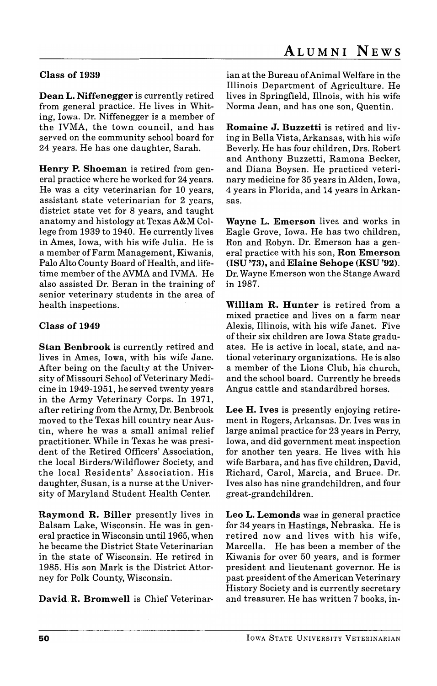## Class of 1939

Dean L. Niffenegger is currently retired from general practice. He lives in Whiting, Iowa. Dr. Niffenegger is a member of the IVMA, the town council, and has served on the community school board for 24 years. He has one daughter, Sarah.

Henry P. Shoeman is retired from general practice where he worked for 24 years. He was a city veterinarian for 10 years, assistant state veterinarian for 2 years, district state vet for 8 years, and taught anatomy and histology at Texas A&M College from 1939 to 1940. He currently lives in Ames, Iowa, with his wife Julia. He is a member of Farm Management, Kiwanis, Palo Alto County Board of Health, and lifetime member of the AVMA and IVMA. He also assisted Dr. Beran in the training of senior veterinary students in the area of health inspections.

## Class of 1949

Stan Benbrook is currently retired and lives in Ames, Iowa, with his wife Jane. After being on the faculty at the University of Missouri School of Veterinary Medicine in 1949-1951, he served twenty years in the Army Veterinary Corps. In 1971, after retiring from the Army, Dr. Benbrook moved to the Texas hill country near Austin, where he was a small animal relief practitioner. While in Texas he was president of the Retired Officers' Association, the local Birders/Wildflower Society, and the local Residents' Association. His daughter, Susan, is a nurse at the University of Maryland Student Health Center.

Raymond R. Biller presently lives in Balsam Lake, Wisconsin. He was in general practice in Wisconsin until 1965, when he became the District State Veterinarian in the state of Wisconsin. He retired in 1985. His son Mark is the District Attorney for Polk County, Wisconsin.

David. R. Bromwell is Chief Veterinar-

ian at the Bureau of Animal Welfare in the Illinois Department of Agriculture. He lives in Springfield, Illnois, with his wife Norma Jean, and has one son, Quentin.

Romaine J. Buzzetti is retired and living in Bella Vista, Arkansas, with his wife Beverly. He has four children, Drs. Robert and Anthony Buzzetti, Ramona Becker, and Diana Boysen. He practiced veterinary medicine for 35 years in Alden, Iowa, 4 years in Florida, and 14 years in Arkansas.

Wayne L. Emerson lives and works in Eagle Grove, Iowa. He has two children, Ron and Robyn. Dr. Emerson has a general practice with his son, Ron Emerson (lSU '73), and Elaine Sehope (KSU '92). Dr. Wayne Emerson won the Stange Award in 1987.

William R. Hunter is retired from a mixed practice and lives on a farm near Alexis, Illinois, with his wife Janet. Five of their six children are Iowa State graduates. He is active in local, state, and national veterinary organizations. He is also a member of the Lions Club, his church, and the school board. Currently he breeds Angus cattle and standardbred horses.

Lee H. Ives is presently enjoying retirement in Rogers, Arkansas. Dr. Ives was in large animal practice for 23 years in Perry, Iowa, and did government meat inspection for another ten years. He lives with his wife Barbara, and has five children, David, Richard, Carol, Marcia, and Bruce. Dr. I ves also has nine grandchildren, and four great-grandchildren.

Leo L. Lemonds was in general practice for 34 years in Hastings, Nebraska. He is retired now and lives with his wife, Marcella. He has been a member of the Kiwanis for over 50 years, and is former president and lieutenant governor. He is past president of the American Veterinary History Society and is currently secretary and treasurer. He has written 7 books, in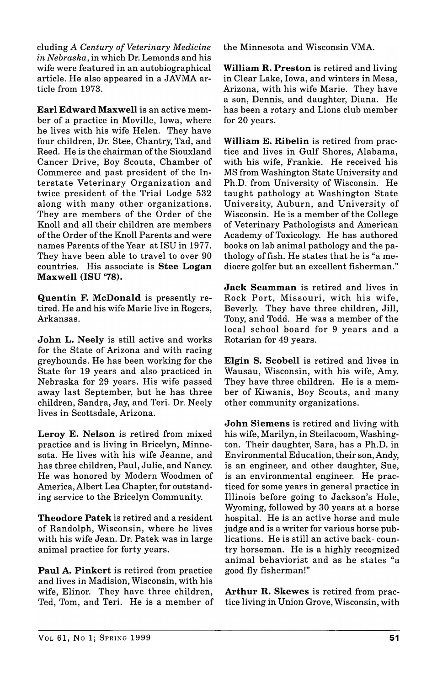eluding *A Century of Veterinary Medicine in Nebraska,* in which Dr. Lemonds and his wife were featured in an autobiographical article. He also appeared in a JAVMA article from 1973.

Earl Edward Maxwell is an active member of a practice in Moville, Iowa, where he lives with his wife Helen. They have four children, Dr. Stee, Chantry, Tad, and Reed. He is the chairman of the Siouxland Cancer Drive, Boy Scouts, Chamber of Commerce and past president of the Interstate Veterinary Organization and twice president of the Trial Lodge 532 along with many other organizations. They are members of the Order of the Knoll and all their children are members of the Order of the Knoll Parents and were names Parents of the Year at ISU in 1977. They have been able to travel to over 90 countries. His associate is Stee Logan Maxwell (lSU '78).

Quentin F. McDonald is presently retired. He and his wife Marie live in Rogers, Arkansas.

John L. Neely is still active and works for the State of Arizona and with racing greyhounds. He has been working for the State for 19 years and also practiced in Nebraska for 29 years. His wife passed away last September, but he has three children, Sandra, Jay, and Teri. Dr. Neely lives in Scottsdale, Arizona.

Leroy E. Nelson is retired from mixed practice and is living in Bricelyn, Minnesota. He lives with his wife Jeanne, and has three children, Paul, Julie, and Nancy. He was honored by Modern Woodmen of America, Albert Lea Chapter, for outstanding service to the Bricelyn Community.

Theodore Patek is retired and a resident of Randolph, Wisconsin, where he lives with his wife Jean. Dr. Patek was in large animal practice for forty years.

Paul A. Pinkert is retired from practice and lives in Madision, Wisconsin, with his wife, Elinor. They have three children, Ted, Tom, and Teri. He is a member of the Minnesota and Wisconsin VMA.

William R. Preston is retired and living in Clear Lake, Iowa, and winters in Mesa, Arizona, with his wife Marie. They have a son, Dennis, and daughter, Diana. He has been a rotary and Lions club member for 20 years.

William E. Ribelin is retired from practice and lives in Gulf Shores, Alabama, with his wife, Frankie. He received his MS from Washington State University and Ph.D. from University of Wisconsin. He taught pathology at Washington State University, Auburn, and University of Wisconsin. He is a member of the College of Veterinary Pathologists and American Academy of Toxicology. He has authored books on lab animal pathology and the pathology of fish. He states that he is "a mediocre golfer but an excellent fisherman."

Jack Scamman is retired and lives in Rock Port, Missouri, with his wife, Beverly. They have three children, Jill, Tony, and Todd. He was a member of the local school board for 9 years and a Rotarian for 49 years.

Elgin S. Scobell is retired and lives in Wausau, Wisconsin, with his wife, Amy. They have three children. He is a member of Kiwanis, Boy Scouts, and many other community organizations.

John Siemens is retired and living with his wife, Marilyn, in Steilacoom, Washington. Their daughter, Sara, has a Ph.D. in Environmental Education, their son, Andy, is an engineer, and other daughter, Sue, is an environmental engineer. He practiced for some years in general practice in Illinois before going to Jackson's Hole, Wyoming, followed by 30 years at a horse hospital. He is an active horse and mule judge and is a writer for various horse publications. He is still an active back- country horseman. He is a highly recognized animal behaviorist and as he states "a good fly fisherman!"

Arthur R. Skewes is retired from practice living in Union Grove, Wisconsin, with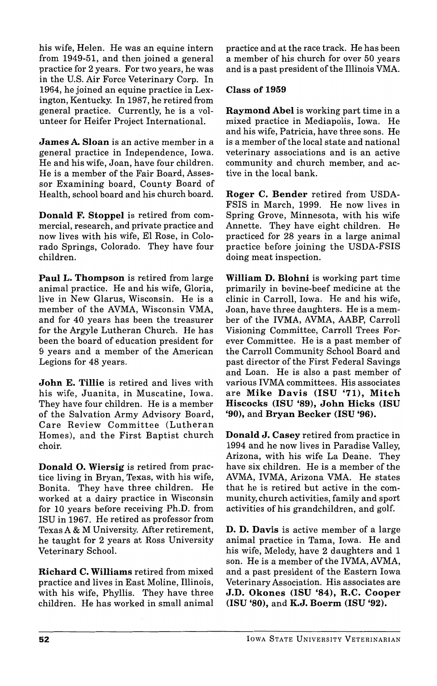his wife, Helen. He was an equine intern from 1949-51, and then joined a general practice for 2 years. For two years, he was in the U.S. Air Force Veterinary Corp. In 1964, he joined an equine practice in Lexington, Kentucky. In 1987, he retired from general practice. Currently, he is a volunteer for Heifer Project International.

James A. Sloan is an active member in a general practice in Independence, Iowa. He and his wife, Joan, have four children. He is a member of the Fair Board, Assessor Examining board, County Board of Health, school board and his church board.

Donald F. Stoppel is retired from commercial, research, and private practice and now lives with his wife, EI Rose, in Colorado Springs, Colorado. They have four children.

Paul L. Thompson is retired from large animal practice. He and his wife, Gloria, live in New Glarus, Wisconsin. He is a member of the AVMA, Wisconsin VMA, and for 40 years has been the treasurer for the Argyle Lutheran Church. He has been the board of education president for 9 years and a member of the American Legions for 48 years.

John E. Tillie is retired and lives with his wife, Juanita, in Muscatine, Iowa. They have four children. He is a member of the Salvation Army Advisory Board, Care Review Committee (Lutheran Homes), and the First Baptist church choir.

Donald O. Wiersig is retired from practice living in Bryan, Texas, with his wife, Bonita. They have three children. He worked at a dairy practice in Wisconsin for 10 years before receiving Ph.D. from ISU in 1967. He retired as professor from Texas A & M University. After retirement, he taught for 2 years at Ross University Veterinary School.

Richard C. Williams retired from mixed practice and lives in East Moline, Illinois, with his wife, Phyllis. They have three children. He has worked in small animal practice and at the race track. He has been a member of his church for over 50 years and is a past president of the Illinois VMA.

## Class of 1959

Raymond Abel is working part time in a mixed practice in Mediapolis, Iowa. He and his wife, Patricia, have three sons. He is a member of the local state and national veterinary associations and is an active community and church member, and active in the local bank.

Roger C. Bender retired from USDA-FSIS in March, 1999. He now lives in Spring Grove, Minnesota, with his wife Annette. They have eight children. He practiced for 28 years in a large animal practice before joining the USDA-FSIS doing meat inspection.

William D. Blohni is working part time primarily in bovine-beef medicine at the clinic in Carroll, Iowa. He and his wife, Joan, have three daughters. He is a member of the IVMA, AVMA, AABP, Carroll Visioning Committee, Carroll Trees Forever Committee. He is a past member of the Carroll Community School Board and past director of the First Federal Savings and Loan. He is also a past member of various IVMA committees. His associates are Mike Davis (lSU '71), Mitch Hiscocks (lSU '89), John Hicks (lSU '90), and Bryan Becker (ISU '96).

Donald J. Casey retired from practice in 1994 and he now lives in Paradise Valley, Arizona, with his wife La Deane. They have six children. He is a member of the AVMA, IVMA, Arizona VMA. He states that he is retired but active in the community, church activities, family and sport activities of his grandchildren, and golf.

D. D. Davis is active member of a large animal practice in Tama, Iowa. He and his wife, Melody, have 2 daughters and 1 son. He is a member of the IVMA, AVMA, and a past president of the Eastern Iowa Veterinary Association. His associates are J.D. Okones (lSU '84), R.C. Cooper (lSU '80), and K.J. Boerm (lSU '92).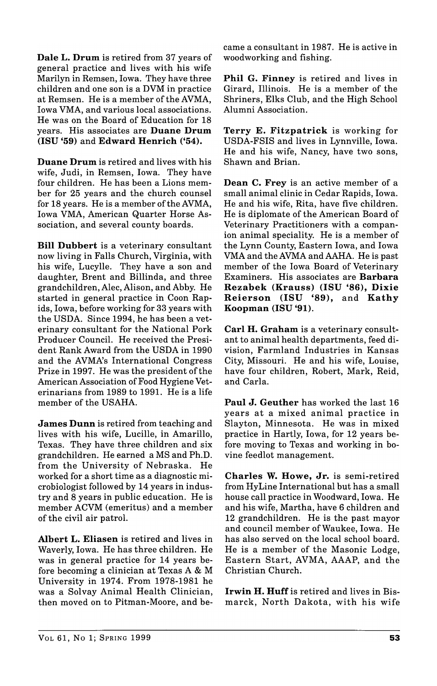Dale L. Drum is retired from 37 years of general practice and lives with his wife Marilyn in Remsen, Iowa. They have three children and one son is a DVM in practice at Remsen. He is a member of the AVMA, Iowa VMA, and various local associations. He was on the Board of Education for 18 years. His associates are Duane Drum (ISU '59) and Edward Henrich ('54).

Duane Drum is retired and lives with his wife, Judi, in Remsen, Iowa. They have four children. He has been a Lions member for 25 years and the church counsel for 18 years. He is a member of the AVMA, Iowa VMA, American Quarter Horse Association, and several county boards.

Bill Dubbert is a veterinary consultant now living in Falls Church, Virginia, with his wife, Lucylle. They have a son and daughter, Brent and Billinda, and three grandchildren, Alec, Alison, and Abby. He started in general practice in Coon Rapids, Iowa, before working for 33 years with the USDA. Since 1994, he has been a veterinary consultant for the National Pork Producer Council. He received the President Rank Award from the USDA in 1990 and the AVMA's International Congress Prize in 1997. He was the president of the American Association of Food Hygiene Veterinarians from 1989 to 1991. He is a life member of the USAHA.

James Dunn is retired from teaching and lives with his wife, Lucille, in Amarillo, Texas. They have three children and six grandchildren. He earned a MS and Ph.D. from the University of Nebraska. He worked for a short time as a diagnostic microbiologist followed by 14 years in industry and 8 years in public education. He is member ACVM (emeritus) and a member of the civil air patrol.

Albert L. Eliasen is retired and lives in Waverly, Iowa. He has three children. He was in general practice for 14 years before becoming a clinician at Texas A & M University in 1974. From 1978-1981 he was a Solvay Animal Health Clinician, then moved on to Pitman-Moore, and became a consultant in 1987. He is active in woodworking and fishing.

Phil G. Finney is retired and lives in Girard, Illinois. He is a member of the Shriners, Elks Club, and the High School Alumni Association.

Terry E. Fitzpatrick is working for USDA-FSIS and lives in Lynnville, Iowa. He and his wife, Nancy, have two sons, Shawn and Brian.

Dean C. Frey is an active member of a small animal clinic in Cedar Rapids, Iowa. He and his wife, Rita, have five children. He is diplomate of the American Board of Veterinary Practitioners with a companion animal speciality. He is a member of the Lynn County, Eastern Iowa, and Iowa VMA and the AVMA and AAHA. He is past member of the Iowa Board of Veterinary Examiners. His associates are Barbara Rezabek (Krauss) (lSU '86), Dixie Reierson (lSU '89), and Kathy Koopman (ISU '91).

Carl H. Graham is a veterinary consultant to animal health departments, feed division, Farmland Industries in Kansas City, Missouri. He and his wife, Louise, have four children, Robert, Mark, Reid, and Carla.

Paul J. Geuther has worked the last 16 years at a mixed animal practice in Slayton, Minnesota. He was in mixed practice in Hartly, Iowa, for 12 years before moving to Texas and working in bovine feedlot management.

Charles W. Howe, Jr. is semi-retired from HyLine International but has a small house call practice in Woodward, Iowa. He and his wife, Martha, have 6 children and 12 grandchildren. He is the past mayor and council member of Waukee, Iowa. He has also served on the local school board. He is a member of the Masonic Lodge, Eastern Start, AVMA, AAAP, and the Christian Church.

Irwin H. Huff is retired and lives in Bismarck, North Dakota, with his wife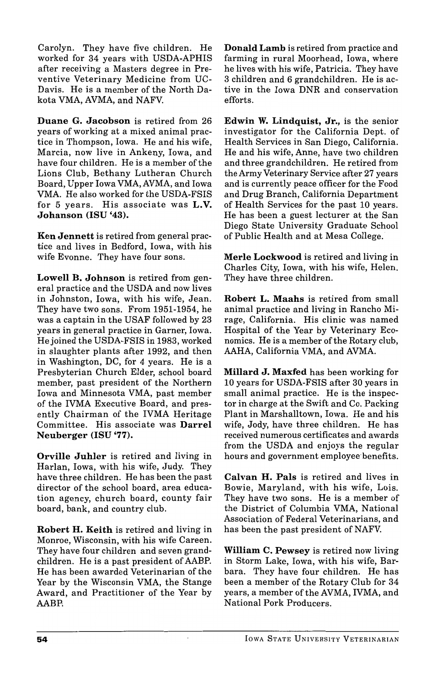Carolyn. They have five children. He worked for 34 years with USDA-APHIS after receiving a Masters degree in Preventive Veterinary Medicine from UC-Davis. He is a member of the North Dakota VMA, AVMA, and NAFV.

Duane G. Jacobson is retired from 26 years of working at a mixed animal practice in Thompson, Iowa. He and his wife, Marcia, now live in Ankeny, Iowa, and have four children. He is a member of the Lions Club, Bethany Lutheran Church Board, Upper Iowa VMA,AVMA, and Iowa VMA. He also worked for the USDA-FSIS for 5 years. His associate was L.V. Johanson (lSU '43).

Ken Jennett is retired from general practice and lives in Bedford, Iowa, with his wife Evonne. They have four sons.

Lowell B. Johnson is retired from general practice and the USDA and now lives in Johnston, Iowa, with his wife, Jean. They have two sons. From 1951-1954, he was a captain in the USAF followed by 23 years in general practice in Garner, Iowa. Hejoined the USDA-FSIS in 1983, worked in slaughter plants after 1992, and then in Washington, DC, for 4 years. He is a Presbyterian Church Elder, school board member, past president of the Northern Iowa and Minnesota VMA, past member of the IVMA Executive Board, and presently Chairman of the IVMA Heritage Committee. His associate was Darrel Neuberger (lSU '77).

Orville Juhler is retired and living in Harlan, Iowa, with his wife, Judy. They have three children. He has been the past director of the school board, area education agency, church board, county fair board, bank, and country club.

Robert H. Keith is retired and living in Monroe, Wisconsin, with his wife Careen. They have four children and seven grandchildren. He is a past president of AABP. He has been awarded Veterinarian of the Year by the Wisconsin VMA, the Stange Award, and Practitioner of the Year by AABH

Donald Lamb is retired from practice and farming in rural Moorhead, Iowa, where he lives with his wife, Patricia. They have 3 children and 6 grandchildren. He is active in the Iowa DNR and conservation efforts.

Edwin W. Lindquist, Jr., is the senior investigator for the California Dept. of Health Services in San Diego, California. He and his wife, Anne, have two children and three grandchildren. He retired from the Army Veterinary Service after 27 years and is currently peace officer for the Food and Drug Branch, California Department of Health Services for the past 10 years. He has been a guest lecturer at the San Diego State University Graduate School of Public Health and at Mesa College.

Merle Lockwood is retired and living in Charles City, Iowa, with his wife, Helen. They have three children.

Robert L. Maahs is retired from small animal practice and living in Rancho Mirage, California. His clinic was named Hospital of the Year by Veterinary Economics. He is a member of the Rotary club, AAHA, California VMA, and AVMA.

Millard J. Maxfed has been working for 10 years for USDA-FSIS after 30 years in small animal practice. He is the inspector in charge at the Swift and Co. Packing Plant in Marshalltown, Iowa. He and his wife, Jody, have three children. He has received numerous certificates and awards from the USDA and enjoys the regular hours and government employee benefits.

Calvan H. Pals is retired and lives in Bowie, Maryland, with his wife, Lois. They have two sons. He is a member of the District of Columbia VMA, National Association of Federal Veterinarians, and has been the past president of NAFV.

William C. Pewsey is retired now living in Storm Lake, Iowa, with his wife, Barbara. They have four children. He has been a member of the Rotary Club for 34 years, a member of the AVMA, IVMA, and National Pork Producers.